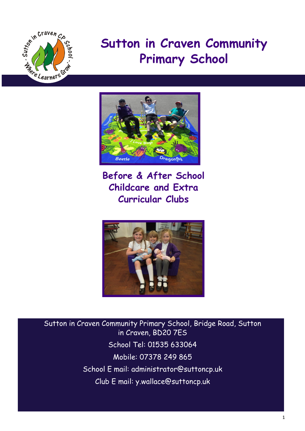

# **Sutton in Craven Community Primary School**



**Before & After School Childcare and Extra Curricular Clubs**



Sutton in Craven Community Primary School, Bridge Road, Sutton in Craven, BD20 7ES School Tel: 01535 633064 Mobile: 07378 249 865 School E mail: administrator@suttoncp.uk Club E mail: y.wallace@suttoncp.uk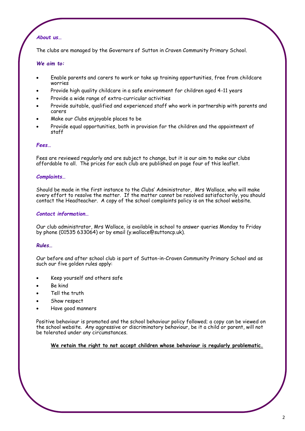### *About us…*

The clubs are managed by the Governors of Sutton in Craven Community Primary School.

#### *We aim to:*

- Enable parents and carers to work or take up training opportunities, free from childcare worries
- Provide high quality childcare in a safe environment for children aged 4-11 years
- Provide a wide range of extra-curricular activities
- Provide suitable, qualified and experienced staff who work in partnership with parents and carers
- Make our Clubs enjoyable places to be
- Provide equal opportunities, both in provision for the children and the appointment of staff

#### *Fees…*

Fees are reviewed regularly and are subject to change, but it is our aim to make our clubs affordable to all. The prices for each club are published on page four of this leaflet.

#### *Complaints…*

Should be made in the first instance to the Clubs' Administrator, Mrs Wallace, who will make every effort to resolve the matter. If the matter cannot be resolved satisfactorily, you should contact the Headteacher. A copy of the school complaints policy is on the school website.

#### *Contact information…*

Our club administrator, Mrs Wallace, is available in school to answer queries Monday to Friday by phone (01535 633064) or by email (y.wallace@suttoncp.uk).

#### *Rules…*

Our before and after school club is part of Sutton-in-Craven Community Primary School and as such our five golden rules apply:

- Keep yourself and others safe
- Be kind
- Tell the truth
- Show respect
- Have good manners

Positive behaviour is promoted and the school behaviour policy followed; a copy can be viewed on the school website. Any aggressive or discriminatory behaviour, be it a child or parent, will not be tolerated under any circumstances.

**We retain the right to not accept children whose behaviour is regularly problematic.**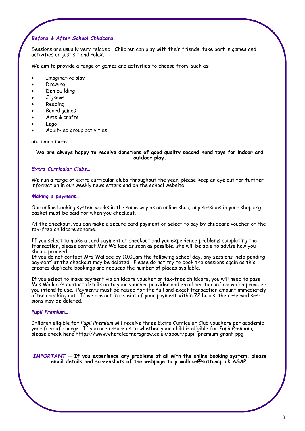#### *Before & After School Childcare…*

Sessions are usually very relaxed. Children can play with their friends, take part in games and activities or just sit and relax.

We aim to provide a range of games and activities to choose from, such as:

- Imaginative play
- Drawing
- Den building
- Jigsaws
- Reading
- Board games
- Arts & crafts
- Lego
- Adult-led group activities

and much more…

#### **We are always happy to receive donations of good quality second hand toys for indoor and outdoor play.**

#### *Extra Curricular Clubs…*

We run a range of extra curricular clubs throughout the year; please keep an eye out for further information in our weekly newsletters and on the school website.

#### *Making a payment…*

Our online booking system works in the same way as an online shop; any sessions in your shopping basket must be paid for when you checkout.

At the checkout, you can make a secure card payment or select to pay by childcare voucher or the tax-free childcare scheme.

If you select to make a card payment at checkout and you experience problems completing the transaction, please contact Mrs Wallace as soon as possible; she will be able to advise how you should proceed.

If you do not contact Mrs Wallace by 10.00am the following school day, any sessions 'held pending payment' at the checkout may be deleted. Please do not try to book the sessions again as this creates duplicate bookings and reduces the number of places available.

If you select to make payment via childcare voucher or tax-free childcare, you will need to pass Mrs Wallace's contact details on to your voucher provider and email her to confirm which provider you intend to use. Payments must be raised for the full and exact transaction amount immediately after checking out. If we are not in receipt of your payment within 72 hours, the reserved sessions may be deleted.

#### *Pupil Premium…*

Children eligible for *Pupil Premium* will receive three Extra Curricular Club vouchers per academic year free of charge. If you are unsure as to whether your child is eligible for *Pupil Premium*, please check here https://www.wherelearnersgrow.co.uk/about/pupil-premium-grant-ppg

*IMPORTANT* **— If you experience any problems at all with the online booking system, please email details and screenshots of the webpage to y.wallace@suttoncp.uk ASAP.**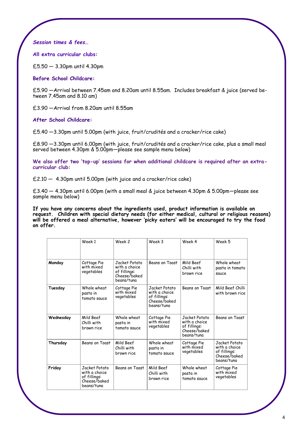*Session times & fees…*

**All extra curricular clubs:**

£5.50 — 3.30pm until 4.30pm

**Before School Childcare:**

£5.90 —Arrival between 7.45am and 8.20am until 8.55am. Includes breakfast & juice (served between 7.45am and 8.10 am)

£3.90 —Arrival from 8.20am until 8.55am

**After School Childcare:**

£5.40 —3.30pm until 5.00pm (with juice, fruit/crudités and a cracker/rice cake)

£8.90 —3.30pm until 6.00pm (with juice, fruit/crudités and a cracker/rice cake, plus a small meal served between 4.30pm & 5.00pm—please see sample menu below)

**We also offer two 'top-up' sessions for when additional childcare is required after an extracurricular club:**

£2.10 — 4.30pm until 5.00pm (with juice and a cracker/rice cake)

£3.40 — 4.30pm until 6.00pm (with a small meal & juice between 4.30pm & 5.00pm—please see sample menu below)

**If you have any concerns about the ingredients used, product information is available on request. Children with special dietary needs (for either medical, cultural or religious reasons) will be offered a meal alternative, however 'picky eaters' will be encouraged to try the food on offer.**

|           | Week 1                                                                       | Week 2                                                                       | Week 3                                                                       | Week 4                                                                       | Week 5                                                                       |
|-----------|------------------------------------------------------------------------------|------------------------------------------------------------------------------|------------------------------------------------------------------------------|------------------------------------------------------------------------------|------------------------------------------------------------------------------|
| Monday    | Cottage Pie<br>with mixed<br>vegetables                                      | Jacket Potato<br>with a choice<br>of fillings:<br>Cheese/baked<br>beans/tuna | Beans on Toast                                                               | Mild Beef<br>Chilli with<br>brown rice                                       | Whole wheat<br>pasta in tomato<br>sauce                                      |
| Tuesday   | Whole wheat<br>pasta in<br>tomato sauce                                      | Cottage Pie<br>with mixed<br>vegetables                                      | Jacket Potato<br>with a choice<br>of fillings:<br>Cheese/baked<br>beans/tuna | Beans on Toast                                                               | Mild Beef Chilli<br>with brown rice                                          |
| Wednesday | Mild Beef<br>Chilli with<br>brown rice                                       | Whole wheat<br>pasta in<br>tomato sauce                                      | Cottage Pie<br>with mixed<br>vegetables                                      | Jacket Potato<br>with a choice<br>of fillings:<br>Cheese/baked<br>beans/tuna | Beans on Toast                                                               |
| Thursday  | Beans on Toast                                                               | Mild Beef<br>Chilli with<br>brown rice                                       | Whole wheat<br>pasta in<br>tomato sauce                                      | Cottage Pie<br>with mixed<br>vegetables                                      | Jacket Potato<br>with a choice<br>of fillings:<br>Cheese/baked<br>beans/tuna |
| Friday    | Jacket Potato<br>with a choice<br>of fillings:<br>Cheese/baked<br>beans/tuna | Beans on Toast                                                               | Mild Beef<br>Chilli with<br>brown rice                                       | Whole wheat<br>pasta in<br>tomato sauce                                      | Cottage Pie<br>with mixed<br>vegetables                                      |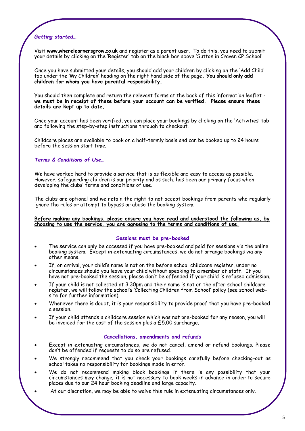#### *Getting started…*

Visit **www.wherelearnersgrow.co.uk** and register as a parent user. To do this, you need to submit your details by clicking on the 'Register' tab on the black bar above 'Sutton in Craven CP School'.

Once you have submitted your details, you should add your children by clicking on the 'Add Child' tab under the 'My Children' heading on the right hand side of the page**. You should only add children for whom you have parental responsibility.**

You should then complete and return the relevant forms at the back of this information leaflet **we must be in receipt of these before your account can be verified. Please ensure these details are kept up to date.** 

Once your account has been verified, you can place your bookings by clicking on the 'Activities' tab and following the step-by-step instructions through to checkout.

Childcare places are available to book on a half-termly basis and can be booked up to 24 hours before the session start time.

#### *Terms & Conditions of Use…*

We have worked hard to provide a service that is as flexible and easy to access as possible. However, safeguarding children is our priority and as such, has been our primary focus when developing the clubs' terms and conditions of use.

The clubs are optional and we retain the right to not accept bookings from parents who regularly ignore the rules or attempt to bypass or abuse the booking system.

#### **Before making any bookings, please ensure you have read and understood the following as, by choosing to use the service, you are agreeing to the terms and conditions of use.**

#### **Sessions must be pre-booked**

- The service can only be accessed if you have pre-booked and paid for sessions via the online booking system. Except in extenuating circumstances, we do not arrange bookings via any other means.
- If, on arrival, your child's name is not on the before school childcare register, under no circumstances should you leave your child without speaking to a member of staff. If you have not pre-booked the session, please don't be offended if your child is refused admission.
- If your child is not collected at 3.30pm and their name is not on the after school childcare register, we will follow the school's 'Collecting Children from School' policy (see school website for further information).
- Whenever there is doubt, it is your responsibility to provide proof that you have pre-booked a session.
- If your child attends a childcare session which was not pre-booked for any reason, you will be invoiced for the cost of the session plus a £5.00 surcharge.

#### **Cancellations, amendments and refunds**

- Except in extenuating circumstances, we do not cancel, amend or refund bookings. Please don't be offended if requests to do so are refused.
- We strongly recommend that you check your bookings carefully before checking-out as school takes no responsibility for bookings made in error.
- We do not recommend making block bookings if there is any possibility that your circumstances may change; it is not necessary to book weeks in advance in order to secure places due to our 24 hour booking deadline and large capacity.
- At our discretion, we may be able to waive this rule in extenuating circumstances only.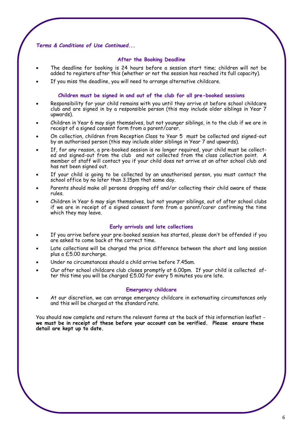#### *Terms & Conditions of Use Continued...*

#### **After the Booking Deadline**

- The deadline for booking is 24 hours before a session start time; children will not be added to registers after this (whether or not the session has reached its full capacity).
- If you miss the deadline, you will need to arrange alternative childcare.

#### **Children must be signed in and out of the club for all pre-booked sessions**

- Responsibility for your child remains with you until they arrive at before school childcare club and are signed in by a responsible person (this may include older siblings in Year  $7$ upwards).
- Children in Year 6 may sign themselves, but not younger siblings, in to the club if we are in receipt of a signed consent form from a parent/carer.
- On collection, children from Reception Class to Year 5 must be collected and signed-out by an authorised person (this may include older siblings in Year 7 and upwards).
- If, for any reason, a pre-booked session is no longer required, your child must be collected and signed-out from the club and not collected from the class collection point. A member of staff will contact you if your child does not arrive at an after school club and has not been signed out.
- If your child is going to be collected by an unauthorised person, you must contact the school office by no later than 3.15pm that same day.
- Parents should make all persons dropping off and/or collecting their child aware of these rules.
- Children in Year 6 may sign themselves, but not younger siblings, out of after school clubs if we are in receipt of a signed consent form from a parent/carer confirming the time which they may leave.

#### **Early arrivals and late collections**

- If you arrive before your pre-booked session has started, please don't be offended if you are asked to come back at the correct time.
- Late collections will be charged the price difference between the short and long session plus a £5.00 surcharge.
- Under no circumstances should a child arrive before 7.45am.
- Our after school childcare club closes promptly at 6.00pm. If your child is collected after this time you will be charged £5.00 for every 5 minutes you are late.

#### **Emergency childcare**

 At our discretion, we can arrange emergency childcare in extenuating circumstances only and this will be charged at the standard rate.

You should now complete and return the relevant forms at the back of this information leaflet **we must be in receipt of these before your account can be verified. Please ensure these detail are kept up to date.**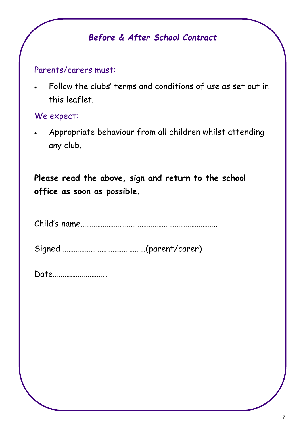## *Before & After School Contract*

### Parents/carers must:

 Follow the clubs' terms and conditions of use as set out in this leaflet.

### We expect:

 Appropriate behaviour from all children whilst attending any club.

**Please read the above, sign and return to the school office as soon as possible.** 

Child's name………………………………………………………………..

Signed ………………………………………(parent/carer)

| Date |  |
|------|--|
|------|--|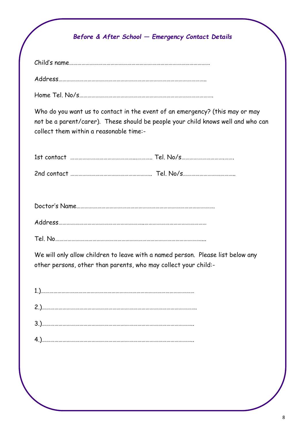### *Before & After School — Emergency Contact Details*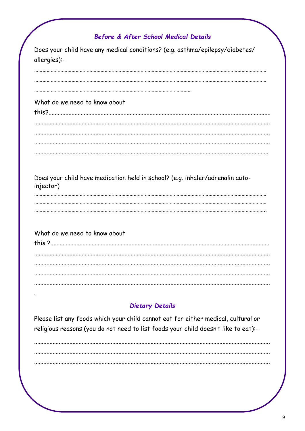### Before & After School Medical Details

| Does your child have any medical conditions? (e.g. asthma/epilepsy/diabetes/<br>allergies):- |
|----------------------------------------------------------------------------------------------|
|                                                                                              |
|                                                                                              |
| What do we need to know about                                                                |
|                                                                                              |
|                                                                                              |
|                                                                                              |
|                                                                                              |
| Does your child have medication held in school? (e.g. inhaler/adrenalin auto-<br>injector)   |
|                                                                                              |
|                                                                                              |
| What do we need to know about                                                                |
|                                                                                              |
|                                                                                              |
|                                                                                              |
|                                                                                              |
| <b>Dietary Details</b>                                                                       |
|                                                                                              |

Please list any foods which your child cannot eat for either medical, cultural or religious reasons (you do not need to list foods your child doesn't like to eat) :-